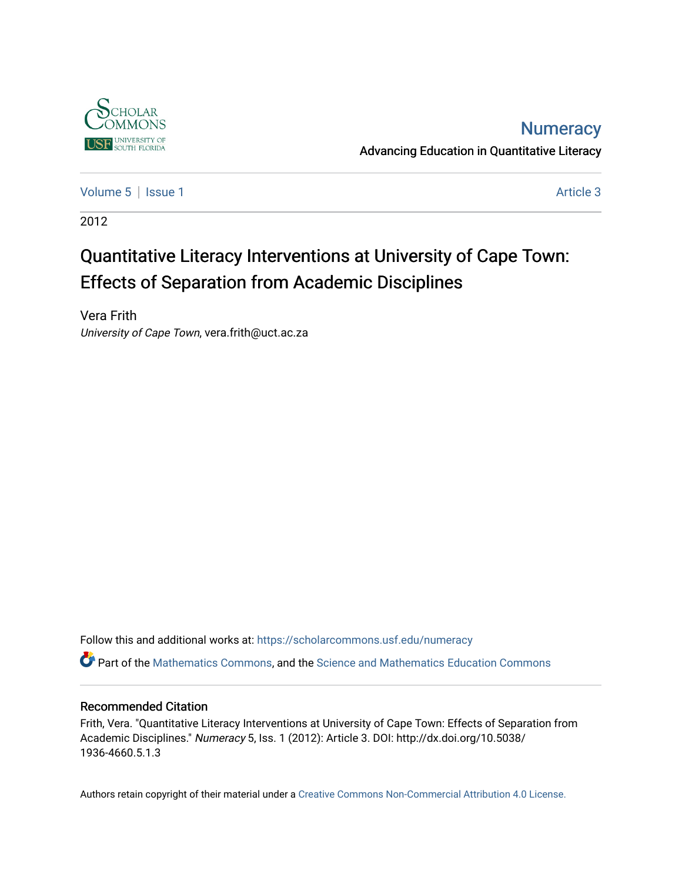

## **Numeracy**

Advancing Education in Quantitative Literacy

[Volume 5](https://scholarcommons.usf.edu/numeracy/vol5) | [Issue 1](https://scholarcommons.usf.edu/numeracy/vol5/iss1) Article 3

2012

# Quantitative Literacy Interventions at University of Cape Town: Effects of Separation from Academic Disciplines

Vera Frith University of Cape Town, vera.frith@uct.ac.za

Follow this and additional works at: [https://scholarcommons.usf.edu/numeracy](https://scholarcommons.usf.edu/numeracy?utm_source=scholarcommons.usf.edu%2Fnumeracy%2Fvol5%2Fiss1%2Fart3&utm_medium=PDF&utm_campaign=PDFCoverPages) 

Part of the [Mathematics Commons](http://network.bepress.com/hgg/discipline/174?utm_source=scholarcommons.usf.edu%2Fnumeracy%2Fvol5%2Fiss1%2Fart3&utm_medium=PDF&utm_campaign=PDFCoverPages), and the [Science and Mathematics Education Commons](http://network.bepress.com/hgg/discipline/800?utm_source=scholarcommons.usf.edu%2Fnumeracy%2Fvol5%2Fiss1%2Fart3&utm_medium=PDF&utm_campaign=PDFCoverPages) 

### Recommended Citation

Frith, Vera. "Quantitative Literacy Interventions at University of Cape Town: Effects of Separation from Academic Disciplines." Numeracy 5, Iss. 1 (2012): Article 3. DOI: http://dx.doi.org/10.5038/ 1936-4660.5.1.3

Authors retain copyright of their material under a [Creative Commons Non-Commercial Attribution 4.0 License.](http://creativecommons.org/licenses/by-nc/4.0/)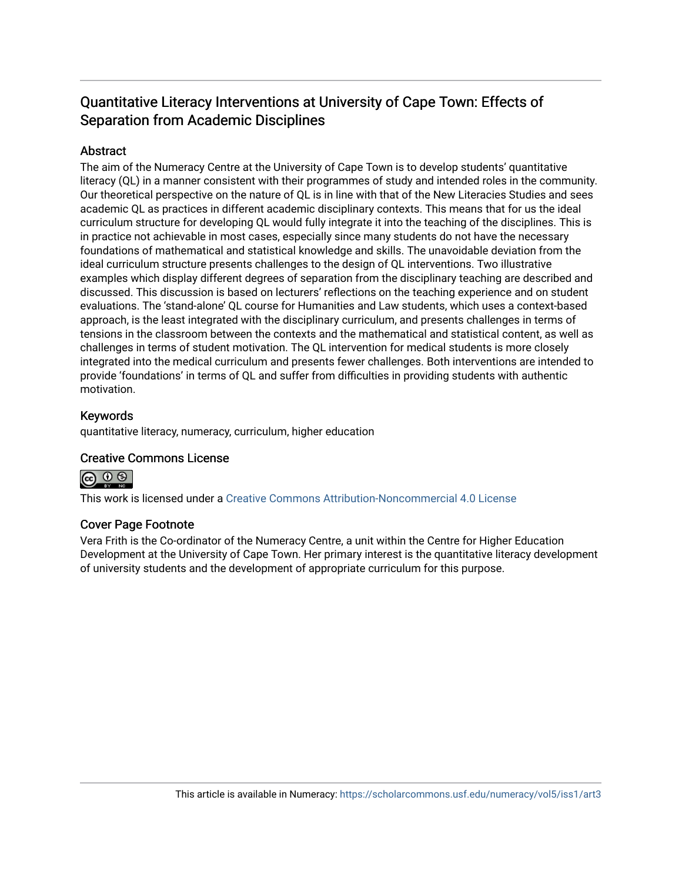## Quantitative Literacy Interventions at University of Cape Town: Effects of Separation from Academic Disciplines

### **Abstract**

The aim of the Numeracy Centre at the University of Cape Town is to develop students' quantitative literacy (QL) in a manner consistent with their programmes of study and intended roles in the community. Our theoretical perspective on the nature of QL is in line with that of the New Literacies Studies and sees academic QL as practices in different academic disciplinary contexts. This means that for us the ideal curriculum structure for developing QL would fully integrate it into the teaching of the disciplines. This is in practice not achievable in most cases, especially since many students do not have the necessary foundations of mathematical and statistical knowledge and skills. The unavoidable deviation from the ideal curriculum structure presents challenges to the design of QL interventions. Two illustrative examples which display different degrees of separation from the disciplinary teaching are described and discussed. This discussion is based on lecturers' reflections on the teaching experience and on student evaluations. The 'stand-alone' QL course for Humanities and Law students, which uses a context-based approach, is the least integrated with the disciplinary curriculum, and presents challenges in terms of tensions in the classroom between the contexts and the mathematical and statistical content, as well as challenges in terms of student motivation. The QL intervention for medical students is more closely integrated into the medical curriculum and presents fewer challenges. Both interventions are intended to provide 'foundations' in terms of QL and suffer from difficulties in providing students with authentic motivation.

### Keywords

quantitative literacy, numeracy, curriculum, higher education

### Creative Commons License



This work is licensed under a [Creative Commons Attribution-Noncommercial 4.0 License](https://creativecommons.org/licenses/by-nc/4.0/legalcode) 

### Cover Page Footnote

Vera Frith is the Co-ordinator of the Numeracy Centre, a unit within the Centre for Higher Education Development at the University of Cape Town. Her primary interest is the quantitative literacy development of university students and the development of appropriate curriculum for this purpose.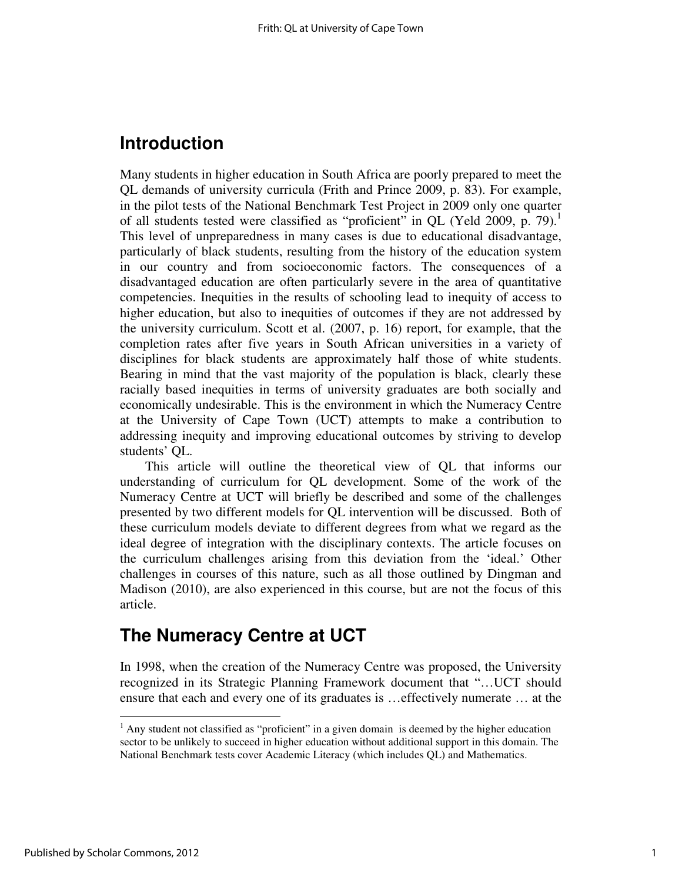## **Introduction**

Many students in higher education in South Africa are poorly prepared to meet the QL demands of university curricula (Frith and Prince 2009, p. 83). For example, in the pilot tests of the National Benchmark Test Project in 2009 only one quarter of all students tested were classified as "proficient" in QL (Yeld 2009, p. 79).<sup>1</sup> This level of unpreparedness in many cases is due to educational disadvantage, particularly of black students, resulting from the history of the education system in our country and from socioeconomic factors. The consequences of a disadvantaged education are often particularly severe in the area of quantitative competencies. Inequities in the results of schooling lead to inequity of access to higher education, but also to inequities of outcomes if they are not addressed by the university curriculum. Scott et al. (2007, p. 16) report, for example, that the completion rates after five years in South African universities in a variety of disciplines for black students are approximately half those of white students. Bearing in mind that the vast majority of the population is black, clearly these racially based inequities in terms of university graduates are both socially and economically undesirable. This is the environment in which the Numeracy Centre at the University of Cape Town (UCT) attempts to make a contribution to addressing inequity and improving educational outcomes by striving to develop students' QL.

This article will outline the theoretical view of QL that informs our understanding of curriculum for QL development. Some of the work of the Numeracy Centre at UCT will briefly be described and some of the challenges presented by two different models for QL intervention will be discussed. Both of these curriculum models deviate to different degrees from what we regard as the ideal degree of integration with the disciplinary contexts. The article focuses on the curriculum challenges arising from this deviation from the 'ideal.' Other challenges in courses of this nature, such as all those outlined by Dingman and Madison (2010), are also experienced in this course, but are not the focus of this article.

# **The Numeracy Centre at UCT**

In 1998, when the creation of the Numeracy Centre was proposed, the University recognized in its Strategic Planning Framework document that "…UCT should ensure that each and every one of its graduates is …effectively numerate … at the

 $\overline{a}$ 

 $<sup>1</sup>$  Any student not classified as "proficient" in a given domain is deemed by the higher education</sup> sector to be unlikely to succeed in higher education without additional support in this domain. The National Benchmark tests cover Academic Literacy (which includes QL) and Mathematics.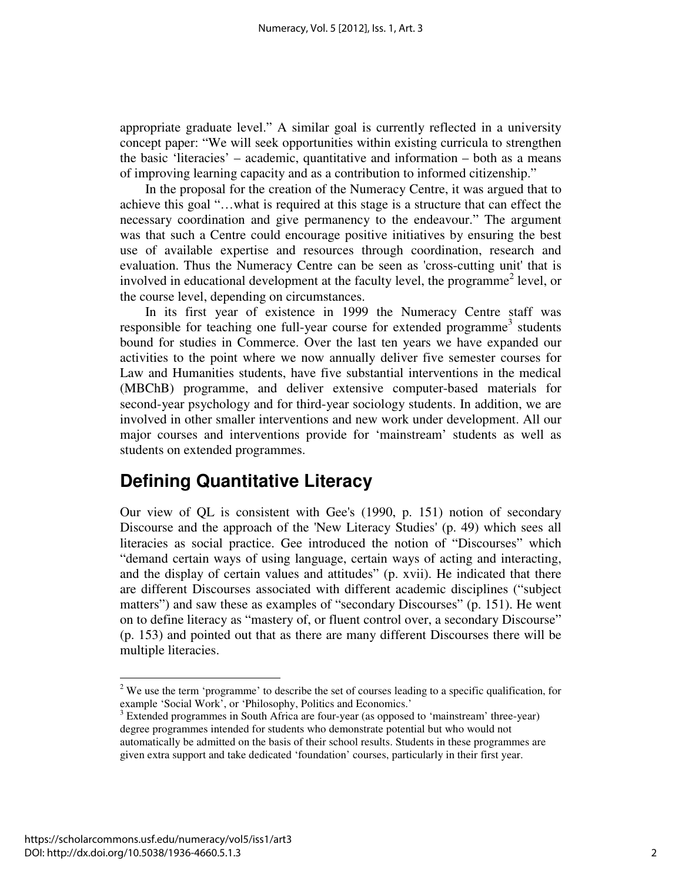appropriate graduate level." A similar goal is currently reflected in a university concept paper: "We will seek opportunities within existing curricula to strengthen the basic 'literacies' – academic, quantitative and information – both as a means of improving learning capacity and as a contribution to informed citizenship."

In the proposal for the creation of the Numeracy Centre, it was argued that to achieve this goal "…what is required at this stage is a structure that can effect the necessary coordination and give permanency to the endeavour." The argument was that such a Centre could encourage positive initiatives by ensuring the best use of available expertise and resources through coordination, research and evaluation. Thus the Numeracy Centre can be seen as 'cross-cutting unit' that is involved in educational development at the faculty level, the programme<sup>2</sup> level, or the course level, depending on circumstances.

In its first year of existence in 1999 the Numeracy Centre staff was responsible for teaching one full-year course for extended programme<sup>3</sup> students bound for studies in Commerce. Over the last ten years we have expanded our activities to the point where we now annually deliver five semester courses for Law and Humanities students, have five substantial interventions in the medical (MBChB) programme, and deliver extensive computer-based materials for second-year psychology and for third-year sociology students. In addition, we are involved in other smaller interventions and new work under development. All our major courses and interventions provide for 'mainstream' students as well as students on extended programmes.

# **Defining Quantitative Literacy**

Our view of QL is consistent with Gee's (1990, p. 151) notion of secondary Discourse and the approach of the 'New Literacy Studies' (p. 49) which sees all literacies as social practice. Gee introduced the notion of "Discourses" which "demand certain ways of using language, certain ways of acting and interacting, and the display of certain values and attitudes" (p. xvii). He indicated that there are different Discourses associated with different academic disciplines ("subject matters") and saw these as examples of "secondary Discourses" (p. 151). He went on to define literacy as "mastery of, or fluent control over, a secondary Discourse" (p. 153) and pointed out that as there are many different Discourses there will be multiple literacies.

 $\overline{a}$ 

 $2$  We use the term 'programme' to describe the set of courses leading to a specific qualification, for example 'Social Work', or 'Philosophy, Politics and Economics.'

<sup>&</sup>lt;sup>3</sup> Extended programmes in South Africa are four-year (as opposed to 'mainstream' three-year) degree programmes intended for students who demonstrate potential but who would not automatically be admitted on the basis of their school results. Students in these programmes are given extra support and take dedicated 'foundation' courses, particularly in their first year.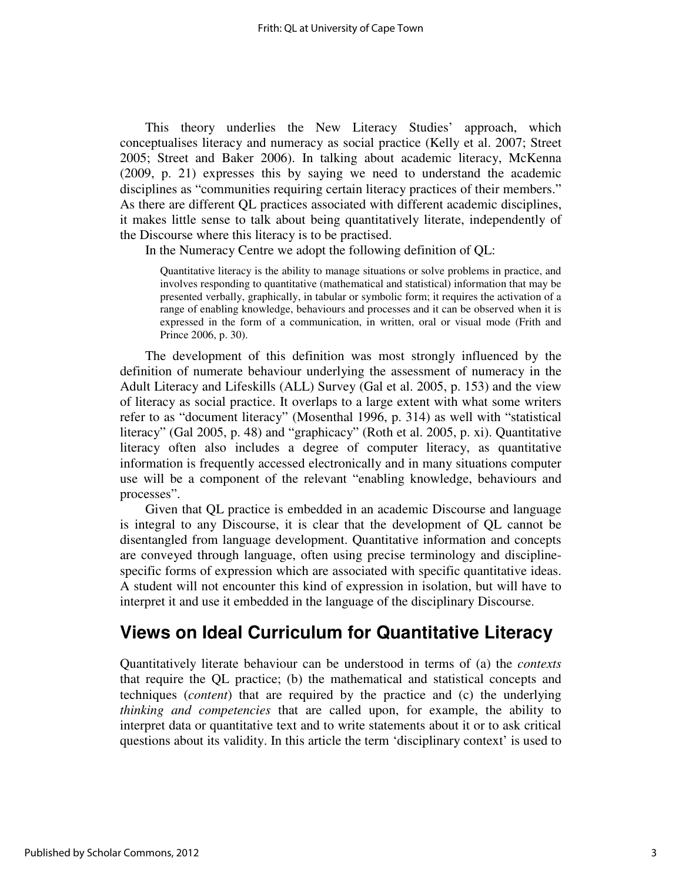This theory underlies the New Literacy Studies' approach, which conceptualises literacy and numeracy as social practice (Kelly et al. 2007; Street 2005; Street and Baker 2006). In talking about academic literacy, McKenna (2009, p. 21) expresses this by saying we need to understand the academic disciplines as "communities requiring certain literacy practices of their members." As there are different QL practices associated with different academic disciplines, it makes little sense to talk about being quantitatively literate, independently of the Discourse where this literacy is to be practised.

In the Numeracy Centre we adopt the following definition of QL:

Quantitative literacy is the ability to manage situations or solve problems in practice, and involves responding to quantitative (mathematical and statistical) information that may be presented verbally, graphically, in tabular or symbolic form; it requires the activation of a range of enabling knowledge, behaviours and processes and it can be observed when it is expressed in the form of a communication, in written, oral or visual mode (Frith and Prince 2006, p. 30).

The development of this definition was most strongly influenced by the definition of numerate behaviour underlying the assessment of numeracy in the Adult Literacy and Lifeskills (ALL) Survey (Gal et al. 2005, p. 153) and the view of literacy as social practice. It overlaps to a large extent with what some writers refer to as "document literacy" (Mosenthal 1996, p. 314) as well with "statistical literacy" (Gal 2005, p. 48) and "graphicacy" (Roth et al. 2005, p. xi). Quantitative literacy often also includes a degree of computer literacy, as quantitative information is frequently accessed electronically and in many situations computer use will be a component of the relevant "enabling knowledge, behaviours and processes".

Given that QL practice is embedded in an academic Discourse and language is integral to any Discourse, it is clear that the development of QL cannot be disentangled from language development. Quantitative information and concepts are conveyed through language, often using precise terminology and disciplinespecific forms of expression which are associated with specific quantitative ideas. A student will not encounter this kind of expression in isolation, but will have to interpret it and use it embedded in the language of the disciplinary Discourse.

## **Views on Ideal Curriculum for Quantitative Literacy**

Quantitatively literate behaviour can be understood in terms of (a) the *contexts* that require the QL practice; (b) the mathematical and statistical concepts and techniques (*content*) that are required by the practice and (c) the underlying *thinking and competencies* that are called upon, for example, the ability to interpret data or quantitative text and to write statements about it or to ask critical questions about its validity. In this article the term 'disciplinary context' is used to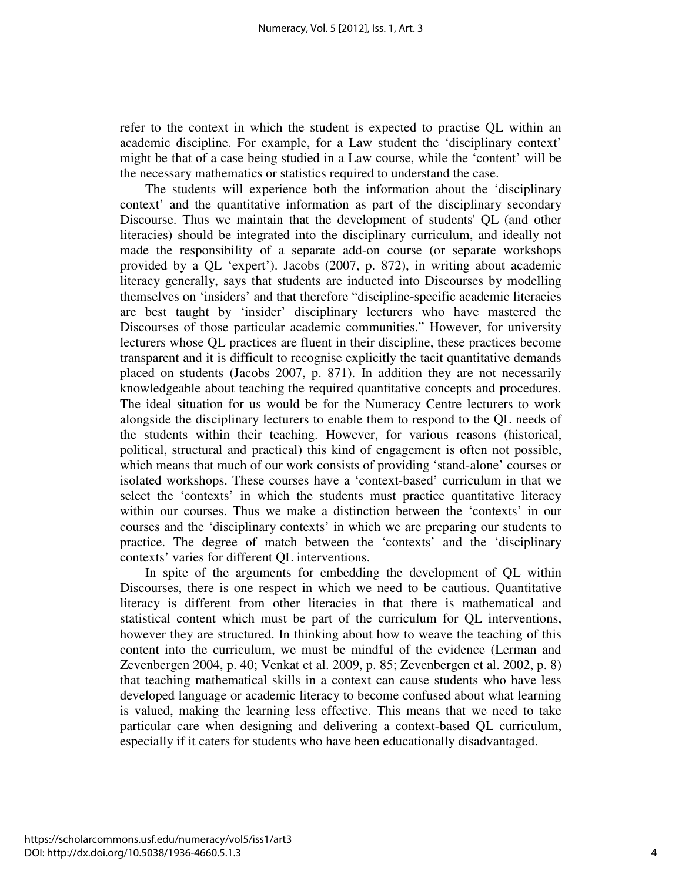refer to the context in which the student is expected to practise QL within an academic discipline. For example, for a Law student the 'disciplinary context' might be that of a case being studied in a Law course, while the 'content' will be the necessary mathematics or statistics required to understand the case.

The students will experience both the information about the 'disciplinary context' and the quantitative information as part of the disciplinary secondary Discourse. Thus we maintain that the development of students' QL (and other literacies) should be integrated into the disciplinary curriculum, and ideally not made the responsibility of a separate add-on course (or separate workshops provided by a QL 'expert'). Jacobs (2007, p. 872), in writing about academic literacy generally, says that students are inducted into Discourses by modelling themselves on 'insiders' and that therefore "discipline-specific academic literacies are best taught by 'insider' disciplinary lecturers who have mastered the Discourses of those particular academic communities." However, for university lecturers whose QL practices are fluent in their discipline, these practices become transparent and it is difficult to recognise explicitly the tacit quantitative demands placed on students (Jacobs 2007, p. 871). In addition they are not necessarily knowledgeable about teaching the required quantitative concepts and procedures. The ideal situation for us would be for the Numeracy Centre lecturers to work alongside the disciplinary lecturers to enable them to respond to the QL needs of the students within their teaching. However, for various reasons (historical, political, structural and practical) this kind of engagement is often not possible, which means that much of our work consists of providing 'stand-alone' courses or isolated workshops. These courses have a 'context-based' curriculum in that we select the 'contexts' in which the students must practice quantitative literacy within our courses. Thus we make a distinction between the 'contexts' in our courses and the 'disciplinary contexts' in which we are preparing our students to practice. The degree of match between the 'contexts' and the 'disciplinary contexts' varies for different QL interventions.

In spite of the arguments for embedding the development of QL within Discourses, there is one respect in which we need to be cautious. Quantitative literacy is different from other literacies in that there is mathematical and statistical content which must be part of the curriculum for QL interventions, however they are structured. In thinking about how to weave the teaching of this content into the curriculum, we must be mindful of the evidence (Lerman and Zevenbergen 2004, p. 40; Venkat et al. 2009, p. 85; Zevenbergen et al. 2002, p. 8) that teaching mathematical skills in a context can cause students who have less developed language or academic literacy to become confused about what learning is valued, making the learning less effective. This means that we need to take particular care when designing and delivering a context-based QL curriculum, especially if it caters for students who have been educationally disadvantaged.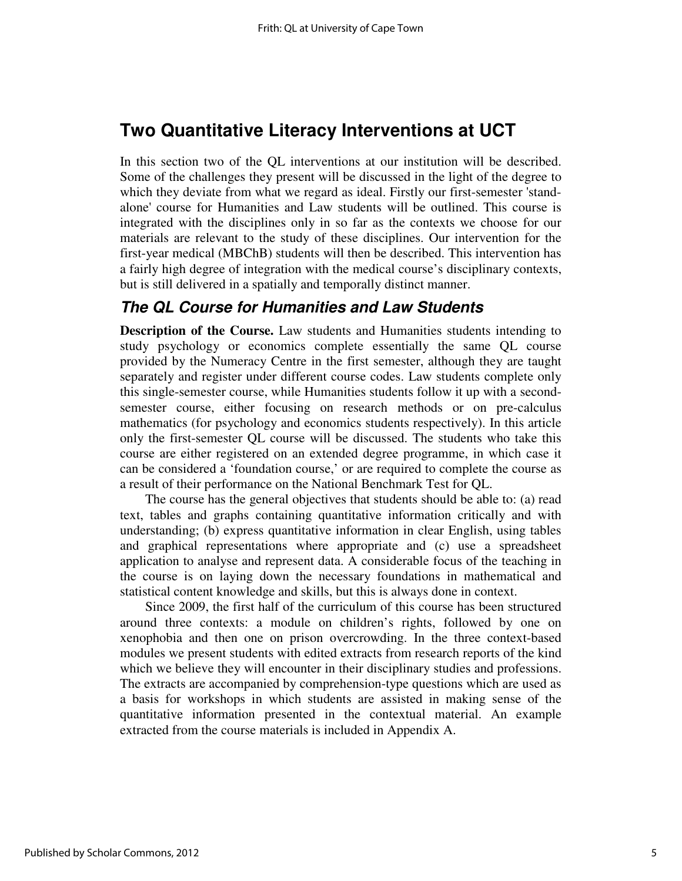# **Two Quantitative Literacy Interventions at UCT**

In this section two of the QL interventions at our institution will be described. Some of the challenges they present will be discussed in the light of the degree to which they deviate from what we regard as ideal. Firstly our first-semester 'standalone' course for Humanities and Law students will be outlined. This course is integrated with the disciplines only in so far as the contexts we choose for our materials are relevant to the study of these disciplines. Our intervention for the first-year medical (MBChB) students will then be described. This intervention has a fairly high degree of integration with the medical course's disciplinary contexts, but is still delivered in a spatially and temporally distinct manner.

### **The QL Course for Humanities and Law Students**

**Description of the Course.** Law students and Humanities students intending to study psychology or economics complete essentially the same QL course provided by the Numeracy Centre in the first semester, although they are taught separately and register under different course codes. Law students complete only this single-semester course, while Humanities students follow it up with a secondsemester course, either focusing on research methods or on pre-calculus mathematics (for psychology and economics students respectively). In this article only the first-semester QL course will be discussed. The students who take this course are either registered on an extended degree programme, in which case it can be considered a 'foundation course,' or are required to complete the course as a result of their performance on the National Benchmark Test for QL.

The course has the general objectives that students should be able to: (a) read text, tables and graphs containing quantitative information critically and with understanding; (b) express quantitative information in clear English, using tables and graphical representations where appropriate and (c) use a spreadsheet application to analyse and represent data. A considerable focus of the teaching in the course is on laying down the necessary foundations in mathematical and statistical content knowledge and skills, but this is always done in context.

Since 2009, the first half of the curriculum of this course has been structured around three contexts: a module on children's rights, followed by one on xenophobia and then one on prison overcrowding. In the three context-based modules we present students with edited extracts from research reports of the kind which we believe they will encounter in their disciplinary studies and professions. The extracts are accompanied by comprehension-type questions which are used as a basis for workshops in which students are assisted in making sense of the quantitative information presented in the contextual material. An example extracted from the course materials is included in Appendix A.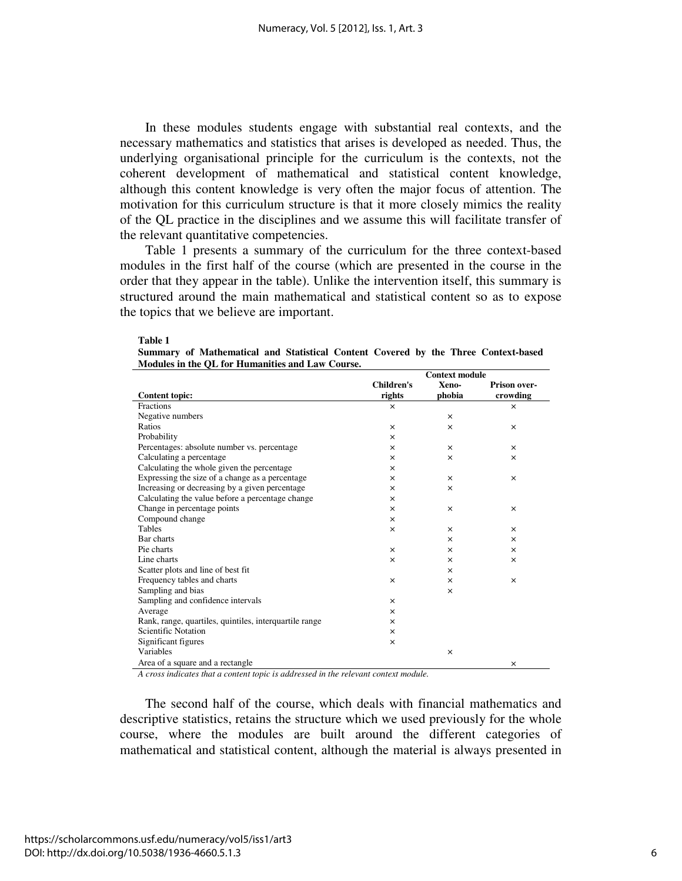In these modules students engage with substantial real contexts, and the necessary mathematics and statistics that arises is developed as needed. Thus, the underlying organisational principle for the curriculum is the contexts, not the coherent development of mathematical and statistical content knowledge, although this content knowledge is very often the major focus of attention. The motivation for this curriculum structure is that it more closely mimics the reality of the QL practice in the disciplines and we assume this will facilitate transfer of the relevant quantitative competencies.

Table 1 presents a summary of the curriculum for the three context-based modules in the first half of the course (which are presented in the course in the order that they appear in the table). Unlike the intervention itself, this summary is structured around the main mathematical and statistical content so as to expose the topics that we believe are important.

| ш |  |
|---|--|
|---|--|

| Summary of Mathematical and Statistical Content Covered by the Three Context-based |                |  |  |
|------------------------------------------------------------------------------------|----------------|--|--|
| Modules in the OL for Humanities and Law Course.                                   |                |  |  |
|                                                                                    | Context module |  |  |

|                                                        | Comext module     |          |              |
|--------------------------------------------------------|-------------------|----------|--------------|
|                                                        | <b>Children's</b> | Xeno-    | Prison over- |
| <b>Content topic:</b>                                  | rights            | phobia   | crowding     |
| Fractions                                              | $\times$          |          | $\times$     |
| Negative numbers                                       |                   | $\times$ |              |
| Ratios                                                 | $\times$          | $\times$ | $\times$     |
| Probability                                            | $\times$          |          |              |
| Percentages: absolute number vs. percentage            | $\times$          | ×        | $\times$     |
| Calculating a percentage                               | $\times$          | $\times$ | ×            |
| Calculating the whole given the percentage             | $\times$          |          |              |
| Expressing the size of a change as a percentage        | $\times$          | $\times$ | $\times$     |
| Increasing or decreasing by a given percentage         | $\times$          | ×        |              |
| Calculating the value before a percentage change       | $\times$          |          |              |
| Change in percentage points                            | $\times$          | ×        | $\times$     |
| Compound change                                        | $\times$          |          |              |
| Tables                                                 | $\times$          | $\times$ | $\times$     |
| Bar charts                                             |                   | $\times$ | ×            |
| Pie charts                                             | $\times$          | $\times$ | $\times$     |
| Line charts                                            | $\times$          | $\times$ | $\times$     |
| Scatter plots and line of best fit                     |                   | ×        |              |
| Frequency tables and charts                            | $\times$          | ×        | ×            |
| Sampling and bias                                      |                   | $\times$ |              |
| Sampling and confidence intervals                      | $\times$          |          |              |
| Average                                                | $\times$          |          |              |
| Rank, range, quartiles, quintiles, interquartile range | $\times$          |          |              |
| <b>Scientific Notation</b>                             | $\times$          |          |              |
| Significant figures                                    | $\times$          |          |              |
| Variables                                              |                   | $\times$ |              |
| Area of a square and a rectangle                       |                   |          | ×            |

*A cross indicates that a content topic is addressed in the relevant context module.*

The second half of the course, which deals with financial mathematics and descriptive statistics, retains the structure which we used previously for the whole course, where the modules are built around the different categories of mathematical and statistical content, although the material is always presented in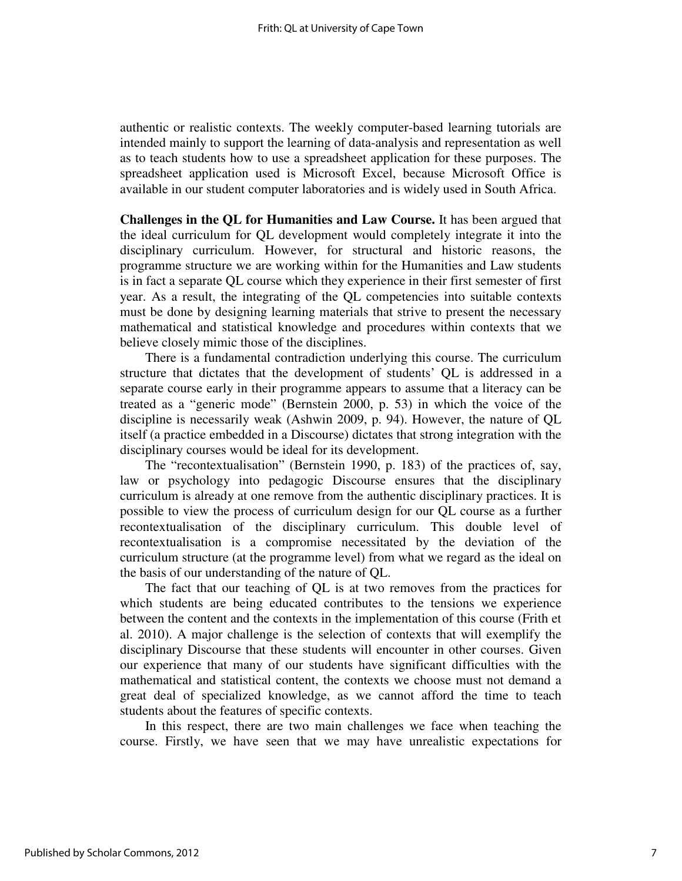authentic or realistic contexts. The weekly computer-based learning tutorials are intended mainly to support the learning of data-analysis and representation as well as to teach students how to use a spreadsheet application for these purposes. The spreadsheet application used is Microsoft Excel, because Microsoft Office is available in our student computer laboratories and is widely used in South Africa.

**Challenges in the QL for Humanities and Law Course.** It has been argued that the ideal curriculum for QL development would completely integrate it into the disciplinary curriculum. However, for structural and historic reasons, the programme structure we are working within for the Humanities and Law students is in fact a separate QL course which they experience in their first semester of first year. As a result, the integrating of the QL competencies into suitable contexts must be done by designing learning materials that strive to present the necessary mathematical and statistical knowledge and procedures within contexts that we believe closely mimic those of the disciplines.

There is a fundamental contradiction underlying this course. The curriculum structure that dictates that the development of students' QL is addressed in a separate course early in their programme appears to assume that a literacy can be treated as a "generic mode" (Bernstein 2000, p. 53) in which the voice of the discipline is necessarily weak (Ashwin 2009, p. 94). However, the nature of QL itself (a practice embedded in a Discourse) dictates that strong integration with the disciplinary courses would be ideal for its development.

The "recontextualisation" (Bernstein 1990, p. 183) of the practices of, say, law or psychology into pedagogic Discourse ensures that the disciplinary curriculum is already at one remove from the authentic disciplinary practices. It is possible to view the process of curriculum design for our QL course as a further recontextualisation of the disciplinary curriculum. This double level of recontextualisation is a compromise necessitated by the deviation of the curriculum structure (at the programme level) from what we regard as the ideal on the basis of our understanding of the nature of QL.

The fact that our teaching of QL is at two removes from the practices for which students are being educated contributes to the tensions we experience between the content and the contexts in the implementation of this course (Frith et al. 2010). A major challenge is the selection of contexts that will exemplify the disciplinary Discourse that these students will encounter in other courses. Given our experience that many of our students have significant difficulties with the mathematical and statistical content, the contexts we choose must not demand a great deal of specialized knowledge, as we cannot afford the time to teach students about the features of specific contexts.

In this respect, there are two main challenges we face when teaching the course. Firstly, we have seen that we may have unrealistic expectations for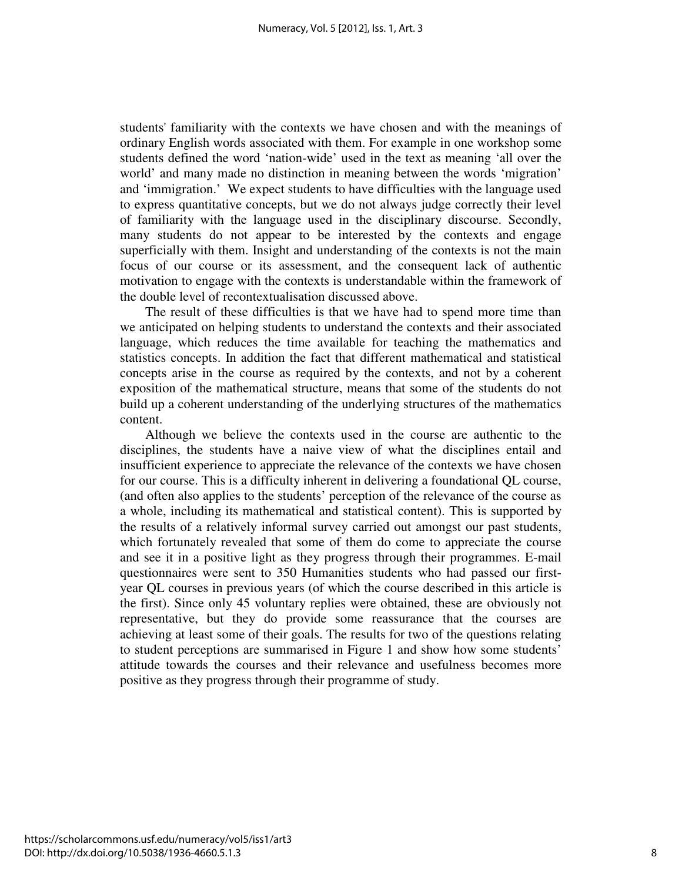students' familiarity with the contexts we have chosen and with the meanings of ordinary English words associated with them. For example in one workshop some students defined the word 'nation-wide' used in the text as meaning 'all over the world' and many made no distinction in meaning between the words 'migration' and 'immigration.' We expect students to have difficulties with the language used to express quantitative concepts, but we do not always judge correctly their level of familiarity with the language used in the disciplinary discourse. Secondly, many students do not appear to be interested by the contexts and engage superficially with them. Insight and understanding of the contexts is not the main focus of our course or its assessment, and the consequent lack of authentic motivation to engage with the contexts is understandable within the framework of the double level of recontextualisation discussed above.

The result of these difficulties is that we have had to spend more time than we anticipated on helping students to understand the contexts and their associated language, which reduces the time available for teaching the mathematics and statistics concepts. In addition the fact that different mathematical and statistical concepts arise in the course as required by the contexts, and not by a coherent exposition of the mathematical structure, means that some of the students do not build up a coherent understanding of the underlying structures of the mathematics content.

Although we believe the contexts used in the course are authentic to the disciplines, the students have a naive view of what the disciplines entail and insufficient experience to appreciate the relevance of the contexts we have chosen for our course. This is a difficulty inherent in delivering a foundational QL course, (and often also applies to the students' perception of the relevance of the course as a whole, including its mathematical and statistical content). This is supported by the results of a relatively informal survey carried out amongst our past students, which fortunately revealed that some of them do come to appreciate the course and see it in a positive light as they progress through their programmes. E-mail questionnaires were sent to 350 Humanities students who had passed our firstyear QL courses in previous years (of which the course described in this article is the first). Since only 45 voluntary replies were obtained, these are obviously not representative, but they do provide some reassurance that the courses are achieving at least some of their goals. The results for two of the questions relating to student perceptions are summarised in Figure 1 and show how some students' attitude towards the courses and their relevance and usefulness becomes more positive as they progress through their programme of study.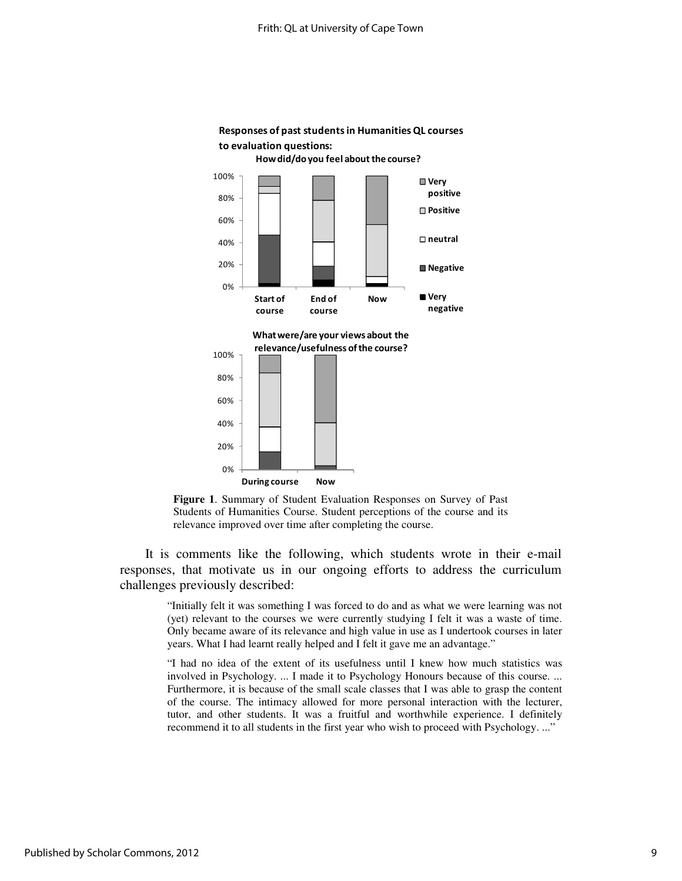

### Responses of past students in Humanities QL courses to evaluation questions:

**Figure 1**. Summary of Student Evaluation Responses on Survey of Past Students of Humanities Course. Student perceptions of the course and its relevance improved over time after completing the course.

It is comments like the following, which students wrote in their e-mail responses, that motivate us in our ongoing efforts to address the curriculum challenges previously described:

> "Initially felt it was something I was forced to do and as what we were learning was not (yet) relevant to the courses we were currently studying I felt it was a waste of time. Only became aware of its relevance and high value in use as I undertook courses in later years. What I had learnt really helped and I felt it gave me an advantage."

> "I had no idea of the extent of its usefulness until I knew how much statistics was involved in Psychology. ... I made it to Psychology Honours because of this course. ... Furthermore, it is because of the small scale classes that I was able to grasp the content of the course. The intimacy allowed for more personal interaction with the lecturer, tutor, and other students. It was a fruitful and worthwhile experience. I definitely recommend it to all students in the first year who wish to proceed with Psychology. ..."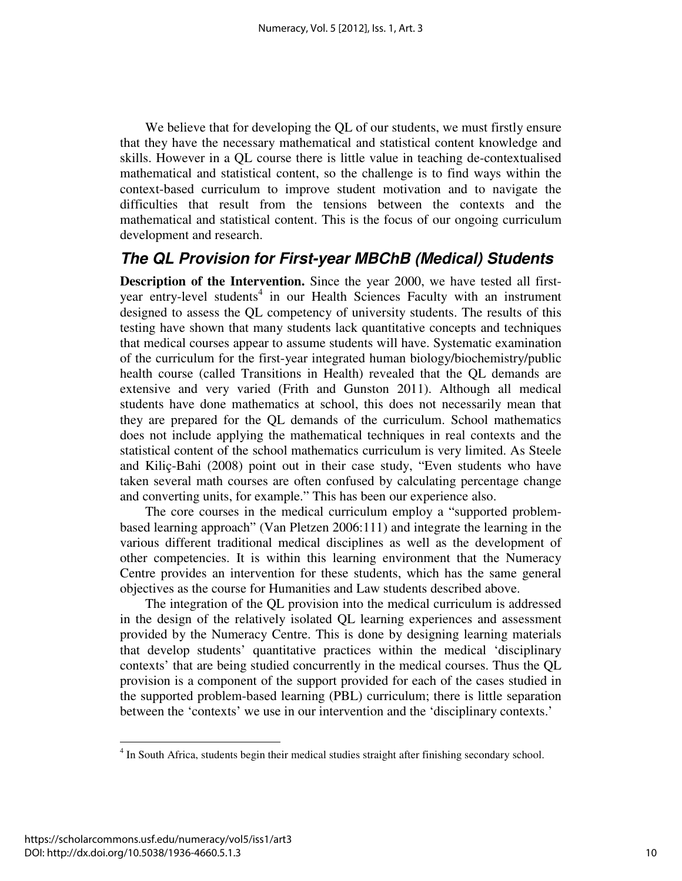We believe that for developing the QL of our students, we must firstly ensure that they have the necessary mathematical and statistical content knowledge and skills. However in a QL course there is little value in teaching de-contextualised mathematical and statistical content, so the challenge is to find ways within the context-based curriculum to improve student motivation and to navigate the difficulties that result from the tensions between the contexts and the mathematical and statistical content. This is the focus of our ongoing curriculum development and research.

### **The QL Provision for First-year MBChB (Medical) Students**

**Description of the Intervention.** Since the year 2000, we have tested all firstyear entry-level students<sup>4</sup> in our Health Sciences Faculty with an instrument designed to assess the QL competency of university students. The results of this testing have shown that many students lack quantitative concepts and techniques that medical courses appear to assume students will have. Systematic examination of the curriculum for the first-year integrated human biology/biochemistry/public health course (called Transitions in Health) revealed that the QL demands are extensive and very varied (Frith and Gunston 2011). Although all medical students have done mathematics at school, this does not necessarily mean that they are prepared for the QL demands of the curriculum. School mathematics does not include applying the mathematical techniques in real contexts and the statistical content of the school mathematics curriculum is very limited. As Steele and Kiliç-Bahi (2008) point out in their case study, "Even students who have taken several math courses are often confused by calculating percentage change and converting units, for example." This has been our experience also.

The core courses in the medical curriculum employ a "supported problembased learning approach" (Van Pletzen 2006:111) and integrate the learning in the various different traditional medical disciplines as well as the development of other competencies. It is within this learning environment that the Numeracy Centre provides an intervention for these students, which has the same general objectives as the course for Humanities and Law students described above.

The integration of the QL provision into the medical curriculum is addressed in the design of the relatively isolated QL learning experiences and assessment provided by the Numeracy Centre. This is done by designing learning materials that develop students' quantitative practices within the medical 'disciplinary contexts' that are being studied concurrently in the medical courses. Thus the QL provision is a component of the support provided for each of the cases studied in the supported problem-based learning (PBL) curriculum; there is little separation between the 'contexts' we use in our intervention and the 'disciplinary contexts.'

 4 In South Africa, students begin their medical studies straight after finishing secondary school.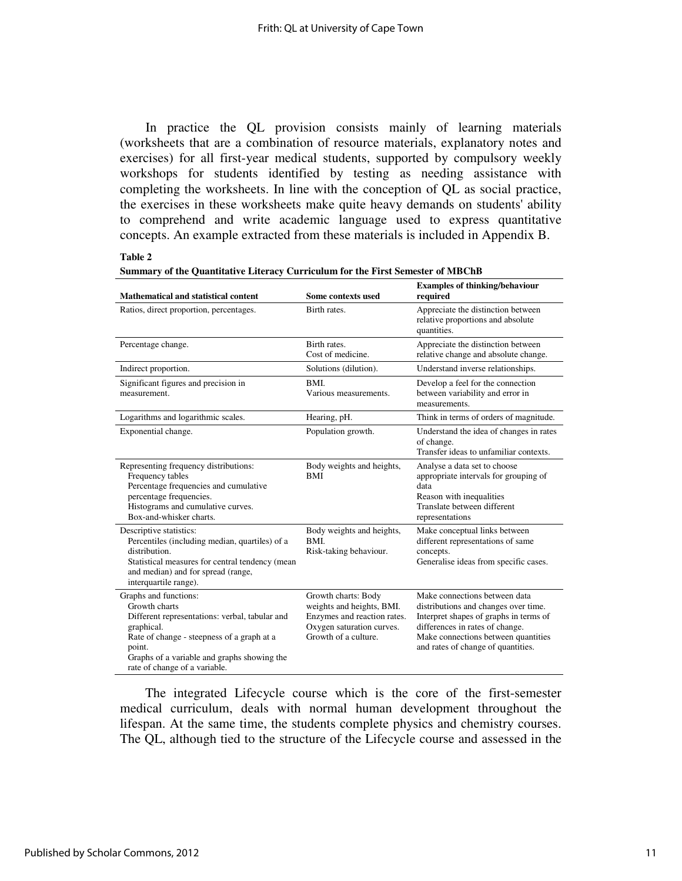In practice the QL provision consists mainly of learning materials (worksheets that are a combination of resource materials, explanatory notes and exercises) for all first-year medical students, supported by compulsory weekly workshops for students identified by testing as needing assistance with completing the worksheets. In line with the conception of QL as social practice, the exercises in these worksheets make quite heavy demands on students' ability to comprehend and write academic language used to express quantitative concepts. An example extracted from these materials is included in Appendix B.

#### **Table 2**

| Mathematical and statistical content                                                                                                                                                                                                           | Some contexts used                                                                                                                   | <b>Examples of thinking/behaviour</b><br>required                                                                                                                                                                               |
|------------------------------------------------------------------------------------------------------------------------------------------------------------------------------------------------------------------------------------------------|--------------------------------------------------------------------------------------------------------------------------------------|---------------------------------------------------------------------------------------------------------------------------------------------------------------------------------------------------------------------------------|
| Ratios, direct proportion, percentages.                                                                                                                                                                                                        | Birth rates.                                                                                                                         | Appreciate the distinction between<br>relative proportions and absolute<br>quantities.                                                                                                                                          |
| Percentage change.                                                                                                                                                                                                                             | Birth rates.<br>Cost of medicine.                                                                                                    | Appreciate the distinction between<br>relative change and absolute change.                                                                                                                                                      |
| Indirect proportion.                                                                                                                                                                                                                           | Solutions (dilution).                                                                                                                | Understand inverse relationships.                                                                                                                                                                                               |
| Significant figures and precision in<br>measurement.                                                                                                                                                                                           | BMI.<br>Various measurements.                                                                                                        | Develop a feel for the connection<br>between variability and error in<br>measurements.                                                                                                                                          |
| Logarithms and logarithmic scales.                                                                                                                                                                                                             | Hearing, pH.                                                                                                                         | Think in terms of orders of magnitude.                                                                                                                                                                                          |
| Exponential change.                                                                                                                                                                                                                            | Population growth.                                                                                                                   | Understand the idea of changes in rates<br>of change.<br>Transfer ideas to unfamiliar contexts.                                                                                                                                 |
| Representing frequency distributions:<br>Frequency tables<br>Percentage frequencies and cumulative<br>percentage frequencies.<br>Histograms and cumulative curves.<br>Box-and-whisker charts.                                                  | Body weights and heights,<br>BMI                                                                                                     | Analyse a data set to choose<br>appropriate intervals for grouping of<br>data<br>Reason with inequalities<br>Translate between different<br>representations                                                                     |
| Descriptive statistics:<br>Percentiles (including median, quartiles) of a<br>distribution.<br>Statistical measures for central tendency (mean<br>and median) and for spread (range,<br>interquartile range).                                   | Body weights and heights,<br>BMI.<br>Risk-taking behaviour.                                                                          | Make conceptual links between<br>different representations of same<br>concepts.<br>Generalise ideas from specific cases.                                                                                                        |
| Graphs and functions:<br>Growth charts<br>Different representations: verbal, tabular and<br>graphical.<br>Rate of change - steepness of a graph at a<br>point.<br>Graphs of a variable and graphs showing the<br>rate of change of a variable. | Growth charts: Body<br>weights and heights, BMI.<br>Enzymes and reaction rates.<br>Oxygen saturation curves.<br>Growth of a culture. | Make connections between data<br>distributions and changes over time.<br>Interpret shapes of graphs in terms of<br>differences in rates of change.<br>Make connections between quantities<br>and rates of change of quantities. |

| -------                                                                                |  |
|----------------------------------------------------------------------------------------|--|
| <b>Summary of the Quantitative Literacy Curriculum for the First Semester of MBChB</b> |  |

The integrated Lifecycle course which is the core of the first-semester medical curriculum, deals with normal human development throughout the lifespan. At the same time, the students complete physics and chemistry courses. The QL, although tied to the structure of the Lifecycle course and assessed in the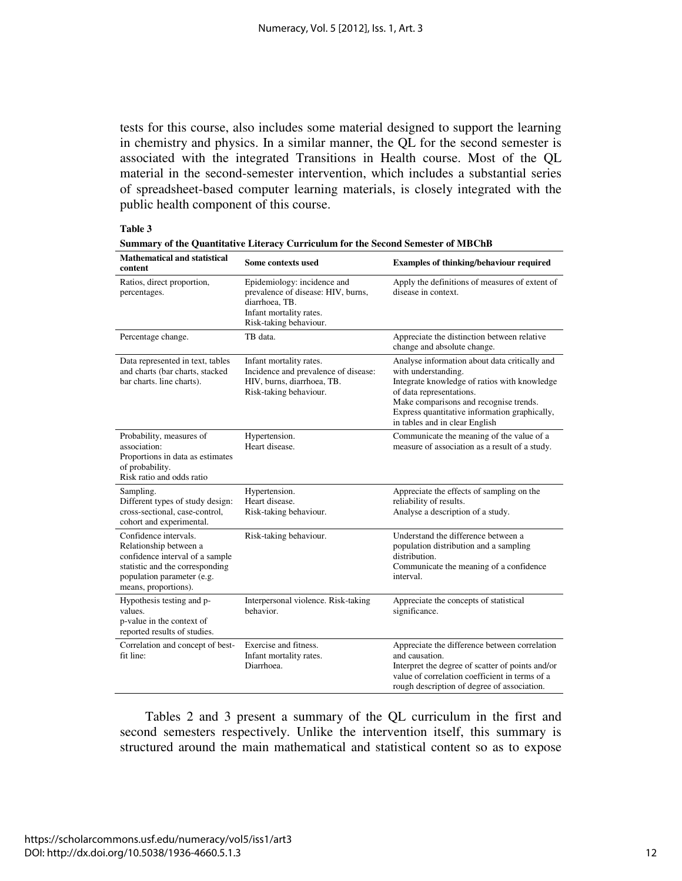tests for this course, also includes some material designed to support the learning in chemistry and physics. In a similar manner, the QL for the second semester is associated with the integrated Transitions in Health course. Most of the QL material in the second-semester intervention, which includes a substantial series of spreadsheet-based computer learning materials, is closely integrated with the public health component of this course.

#### **Table 3**

| <b>Mathematical and statistical</b><br>content                                                                                                                              | Some contexts used                                                                                                                       | <b>Examples of thinking/behaviour required</b>                                                                                                                                                                                                                                |
|-----------------------------------------------------------------------------------------------------------------------------------------------------------------------------|------------------------------------------------------------------------------------------------------------------------------------------|-------------------------------------------------------------------------------------------------------------------------------------------------------------------------------------------------------------------------------------------------------------------------------|
| Ratios, direct proportion,<br>percentages.                                                                                                                                  | Epidemiology: incidence and<br>prevalence of disease: HIV, burns,<br>diarrhoea, TB.<br>Infant mortality rates.<br>Risk-taking behaviour. | Apply the definitions of measures of extent of<br>disease in context.                                                                                                                                                                                                         |
| Percentage change.                                                                                                                                                          | TB data.                                                                                                                                 | Appreciate the distinction between relative<br>change and absolute change.                                                                                                                                                                                                    |
| Data represented in text, tables<br>and charts (bar charts, stacked<br>bar charts. line charts).                                                                            | Infant mortality rates.<br>Incidence and prevalence of disease:<br>HIV, burns, diarrhoea, TB.<br>Risk-taking behaviour.                  | Analyse information about data critically and<br>with understanding.<br>Integrate knowledge of ratios with knowledge<br>of data representations.<br>Make comparisons and recognise trends.<br>Express quantitative information graphically,<br>in tables and in clear English |
| Probability, measures of<br>association:<br>Proportions in data as estimates<br>of probability.<br>Risk ratio and odds ratio                                                | Hypertension.<br>Heart disease.                                                                                                          | Communicate the meaning of the value of a<br>measure of association as a result of a study.                                                                                                                                                                                   |
| Sampling.<br>Different types of study design:<br>cross-sectional, case-control,<br>cohort and experimental.                                                                 | Hypertension.<br>Heart disease.<br>Risk-taking behaviour.                                                                                | Appreciate the effects of sampling on the<br>reliability of results.<br>Analyse a description of a study.                                                                                                                                                                     |
| Confidence intervals.<br>Relationship between a<br>confidence interval of a sample<br>statistic and the corresponding<br>population parameter (e.g.<br>means, proportions). | Risk-taking behaviour.                                                                                                                   | Understand the difference between a<br>population distribution and a sampling<br>distribution.<br>Communicate the meaning of a confidence<br>interval.                                                                                                                        |
| Hypothesis testing and p-<br>values.<br>p-value in the context of<br>reported results of studies.                                                                           | Interpersonal violence. Risk-taking<br>behavior.                                                                                         | Appreciate the concepts of statistical<br>significance.                                                                                                                                                                                                                       |
| Correlation and concept of best-<br>fit line:                                                                                                                               | Exercise and fitness.<br>Infant mortality rates.<br>Diarrhoea.                                                                           | Appreciate the difference between correlation<br>and causation.<br>Interpret the degree of scatter of points and/or<br>value of correlation coefficient in terms of a<br>rough description of degree of association.                                                          |

**Summary of the Quantitative Literacy Curriculum for the Second Semester of MBChB** 

Tables 2 and 3 present a summary of the QL curriculum in the first and second semesters respectively. Unlike the intervention itself, this summary is structured around the main mathematical and statistical content so as to expose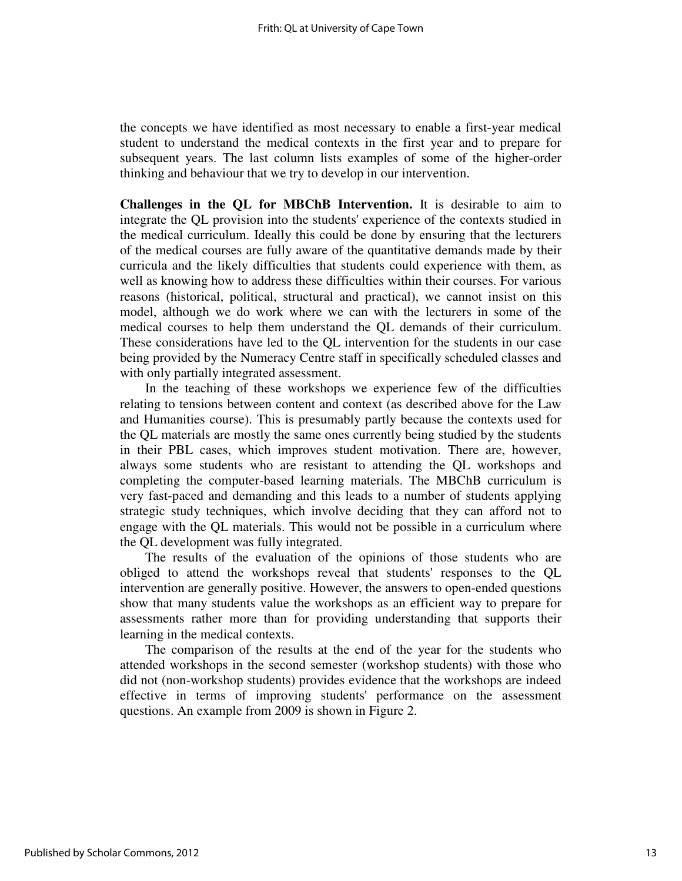the concepts we have identified as most necessary to enable a first-year medical student to understand the medical contexts in the first year and to prepare for subsequent years. The last column lists examples of some of the higher-order thinking and behaviour that we try to develop in our intervention.

**Challenges in the QL for MBChB Intervention.** It is desirable to aim to integrate the QL provision into the students' experience of the contexts studied in the medical curriculum. Ideally this could be done by ensuring that the lecturers of the medical courses are fully aware of the quantitative demands made by their curricula and the likely difficulties that students could experience with them, as well as knowing how to address these difficulties within their courses. For various reasons (historical, political, structural and practical), we cannot insist on this model, although we do work where we can with the lecturers in some of the medical courses to help them understand the QL demands of their curriculum. These considerations have led to the QL intervention for the students in our case being provided by the Numeracy Centre staff in specifically scheduled classes and with only partially integrated assessment.

In the teaching of these workshops we experience few of the difficulties relating to tensions between content and context (as described above for the Law and Humanities course). This is presumably partly because the contexts used for the QL materials are mostly the same ones currently being studied by the students in their PBL cases, which improves student motivation. There are, however, always some students who are resistant to attending the QL workshops and completing the computer-based learning materials. The MBChB curriculum is very fast-paced and demanding and this leads to a number of students applying strategic study techniques, which involve deciding that they can afford not to engage with the QL materials. This would not be possible in a curriculum where the QL development was fully integrated.

The results of the evaluation of the opinions of those students who are obliged to attend the workshops reveal that students' responses to the QL intervention are generally positive. However, the answers to open-ended questions show that many students value the workshops as an efficient way to prepare for assessments rather more than for providing understanding that supports their learning in the medical contexts.

The comparison of the results at the end of the year for the students who attended workshops in the second semester (workshop students) with those who did not (non-workshop students) provides evidence that the workshops are indeed effective in terms of improving students' performance on the assessment questions. An example from 2009 is shown in Figure 2.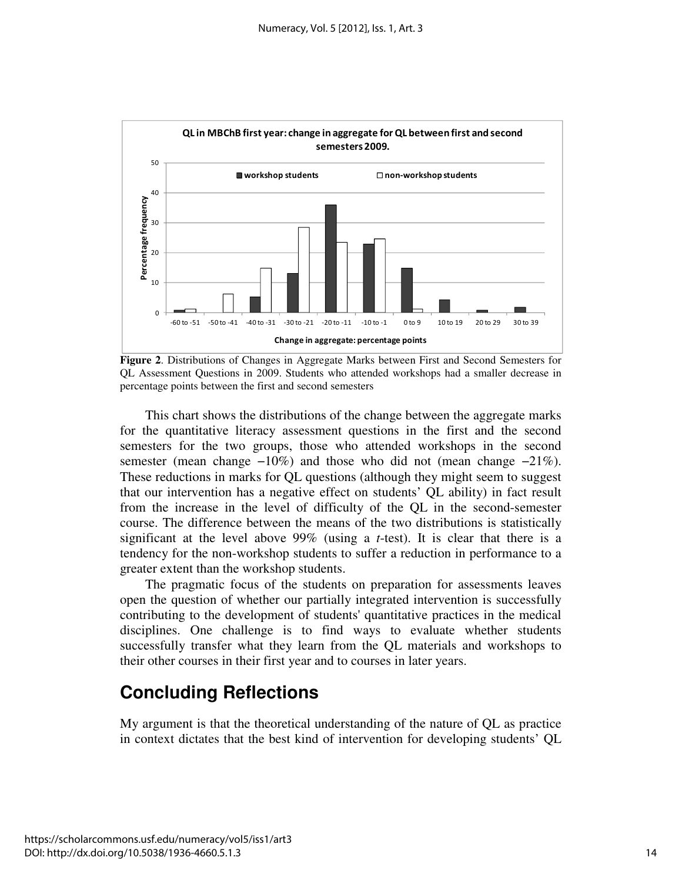

**Figure 2**. Distributions of Changes in Aggregate Marks between First and Second Semesters for QL Assessment Questions in 2009. Students who attended workshops had a smaller decrease in percentage points between the first and second semesters

This chart shows the distributions of the change between the aggregate marks for the quantitative literacy assessment questions in the first and the second semesters for the two groups, those who attended workshops in the second semester (mean change −10%) and those who did not (mean change −21%). These reductions in marks for QL questions (although they might seem to suggest that our intervention has a negative effect on students' QL ability) in fact result from the increase in the level of difficulty of the QL in the second-semester course. The difference between the means of the two distributions is statistically significant at the level above 99% (using a *t*-test). It is clear that there is a tendency for the non-workshop students to suffer a reduction in performance to a greater extent than the workshop students.

The pragmatic focus of the students on preparation for assessments leaves open the question of whether our partially integrated intervention is successfully contributing to the development of students' quantitative practices in the medical disciplines. One challenge is to find ways to evaluate whether students successfully transfer what they learn from the QL materials and workshops to their other courses in their first year and to courses in later years.

# **Concluding Reflections**

My argument is that the theoretical understanding of the nature of QL as practice in context dictates that the best kind of intervention for developing students' QL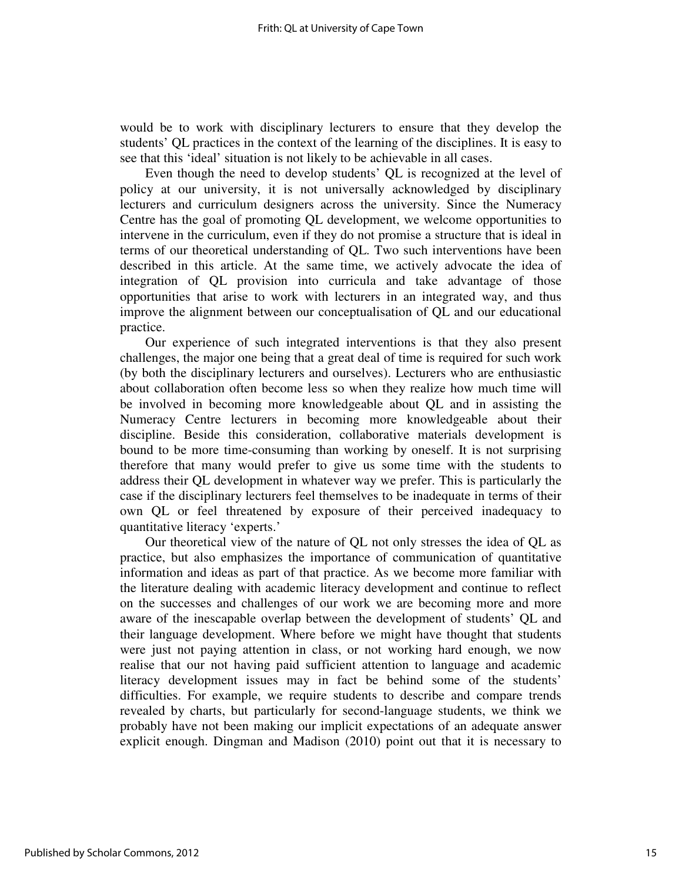would be to work with disciplinary lecturers to ensure that they develop the students' QL practices in the context of the learning of the disciplines. It is easy to see that this 'ideal' situation is not likely to be achievable in all cases.

Even though the need to develop students' QL is recognized at the level of policy at our university, it is not universally acknowledged by disciplinary lecturers and curriculum designers across the university. Since the Numeracy Centre has the goal of promoting QL development, we welcome opportunities to intervene in the curriculum, even if they do not promise a structure that is ideal in terms of our theoretical understanding of QL. Two such interventions have been described in this article. At the same time, we actively advocate the idea of integration of QL provision into curricula and take advantage of those opportunities that arise to work with lecturers in an integrated way, and thus improve the alignment between our conceptualisation of QL and our educational practice.

Our experience of such integrated interventions is that they also present challenges, the major one being that a great deal of time is required for such work (by both the disciplinary lecturers and ourselves). Lecturers who are enthusiastic about collaboration often become less so when they realize how much time will be involved in becoming more knowledgeable about QL and in assisting the Numeracy Centre lecturers in becoming more knowledgeable about their discipline. Beside this consideration, collaborative materials development is bound to be more time-consuming than working by oneself. It is not surprising therefore that many would prefer to give us some time with the students to address their QL development in whatever way we prefer. This is particularly the case if the disciplinary lecturers feel themselves to be inadequate in terms of their own QL or feel threatened by exposure of their perceived inadequacy to quantitative literacy 'experts.'

Our theoretical view of the nature of QL not only stresses the idea of QL as practice, but also emphasizes the importance of communication of quantitative information and ideas as part of that practice. As we become more familiar with the literature dealing with academic literacy development and continue to reflect on the successes and challenges of our work we are becoming more and more aware of the inescapable overlap between the development of students' QL and their language development. Where before we might have thought that students were just not paying attention in class, or not working hard enough, we now realise that our not having paid sufficient attention to language and academic literacy development issues may in fact be behind some of the students' difficulties. For example, we require students to describe and compare trends revealed by charts, but particularly for second-language students, we think we probably have not been making our implicit expectations of an adequate answer explicit enough. Dingman and Madison (2010) point out that it is necessary to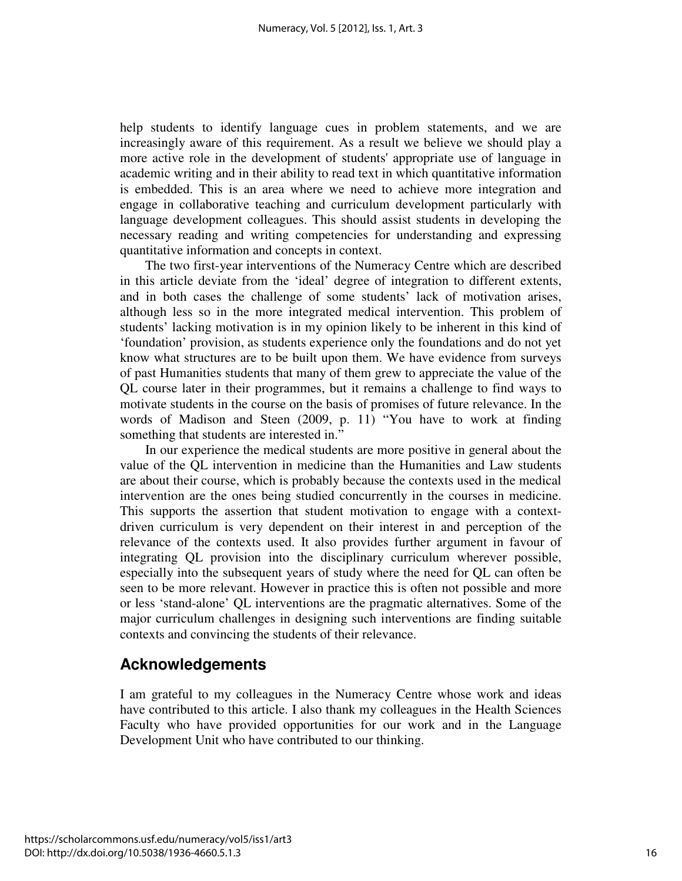help students to identify language cues in problem statements, and we are increasingly aware of this requirement. As a result we believe we should play a more active role in the development of students' appropriate use of language in academic writing and in their ability to read text in which quantitative information is embedded. This is an area where we need to achieve more integration and engage in collaborative teaching and curriculum development particularly with language development colleagues. This should assist students in developing the necessary reading and writing competencies for understanding and expressing quantitative information and concepts in context.

The two first-year interventions of the Numeracy Centre which are described in this article deviate from the 'ideal' degree of integration to different extents, and in both cases the challenge of some students' lack of motivation arises, although less so in the more integrated medical intervention. This problem of students' lacking motivation is in my opinion likely to be inherent in this kind of 'foundation' provision, as students experience only the foundations and do not yet know what structures are to be built upon them. We have evidence from surveys of past Humanities students that many of them grew to appreciate the value of the QL course later in their programmes, but it remains a challenge to find ways to motivate students in the course on the basis of promises of future relevance. In the words of Madison and Steen (2009, p. 11) "You have to work at finding something that students are interested in."

In our experience the medical students are more positive in general about the value of the QL intervention in medicine than the Humanities and Law students are about their course, which is probably because the contexts used in the medical intervention are the ones being studied concurrently in the courses in medicine. This supports the assertion that student motivation to engage with a contextdriven curriculum is very dependent on their interest in and perception of the relevance of the contexts used. It also provides further argument in favour of integrating QL provision into the disciplinary curriculum wherever possible, especially into the subsequent years of study where the need for QL can often be seen to be more relevant. However in practice this is often not possible and more or less 'stand-alone' QL interventions are the pragmatic alternatives. Some of the major curriculum challenges in designing such interventions are finding suitable contexts and convincing the students of their relevance.

### **Acknowledgements**

I am grateful to my colleagues in the Numeracy Centre whose work and ideas have contributed to this article. I also thank my colleagues in the Health Sciences Faculty who have provided opportunities for our work and in the Language Development Unit who have contributed to our thinking.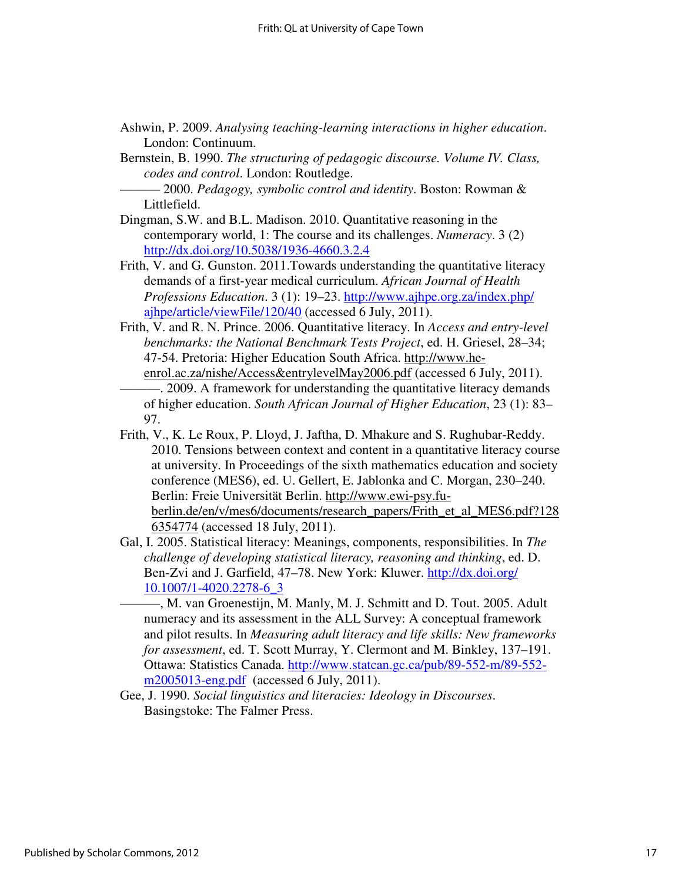- Ashwin, P. 2009. *Analysing teaching-learning interactions in higher education*. London: Continuum.
- Bernstein, B. 1990. *The structuring of pedagogic discourse. Volume IV. Class, codes and control*. London: Routledge.
	- ——— 2000. *Pedagogy, symbolic control and identity*. Boston: Rowman & Littlefield.
- Dingman, S.W. and B.L. Madison. 2010. Quantitative reasoning in the contemporary world, 1: The course and its challenges. *Numeracy*. 3 (2) http://dx.doi.org/10.5038/1936-4660.3.2.4
- Frith, V. and G. Gunston. 2011.Towards understanding the quantitative literacy demands of a first-year medical curriculum. *African Journal of Health Professions Education*. 3 (1): 19–23. http://www.ajhpe.org.za/index.php/ ajhpe/article/viewFile/120/40 (accessed 6 July, 2011).
- Frith, V. and R. N. Prince. 2006. Quantitative literacy. In *Access and entry-level benchmarks: the National Benchmark Tests Project*, ed. H. Griesel, 28–34; 47-54. Pretoria: Higher Education South Africa. http://www.heenrol.ac.za/nishe/Access&entrylevelMay2006.pdf (accessed 6 July, 2011).
- ———. 2009. A framework for understanding the quantitative literacy demands of higher education. *South African Journal of Higher Education*, 23 (1): 83– 97.
- Frith, V., K. Le Roux, P. Lloyd, J. Jaftha, D. Mhakure and S. Rughubar-Reddy. 2010. Tensions between context and content in a quantitative literacy course at university. In Proceedings of the sixth mathematics education and society conference (MES6), ed. U. Gellert, E. Jablonka and C. Morgan, 230–240. Berlin: Freie Universität Berlin. http://www.ewi-psy.fuberlin.de/en/v/mes6/documents/research\_papers/Frith\_et\_al\_MES6.pdf?128 6354774 (accessed 18 July, 2011).
- Gal, I. 2005. Statistical literacy: Meanings, components, responsibilities. In *The challenge of developing statistical literacy, reasoning and thinking*, ed. D. Ben-Zvi and J. Garfield, 47–78. New York: Kluwer. http://dx.doi.org/ 10.1007/1-4020.2278-6\_3

———, M. van Groenestijn, M. Manly, M. J. Schmitt and D. Tout. 2005. Adult numeracy and its assessment in the ALL Survey: A conceptual framework and pilot results. In *Measuring adult literacy and life skills: New frameworks for assessment*, ed. T. Scott Murray, Y. Clermont and M. Binkley, 137–191. Ottawa: Statistics Canada. http://www.statcan.gc.ca/pub/89-552-m/89-552 m2005013-eng.pdf (accessed 6 July, 2011).

Gee, J. 1990. *Social linguistics and literacies: Ideology in Discourses*. Basingstoke: The Falmer Press.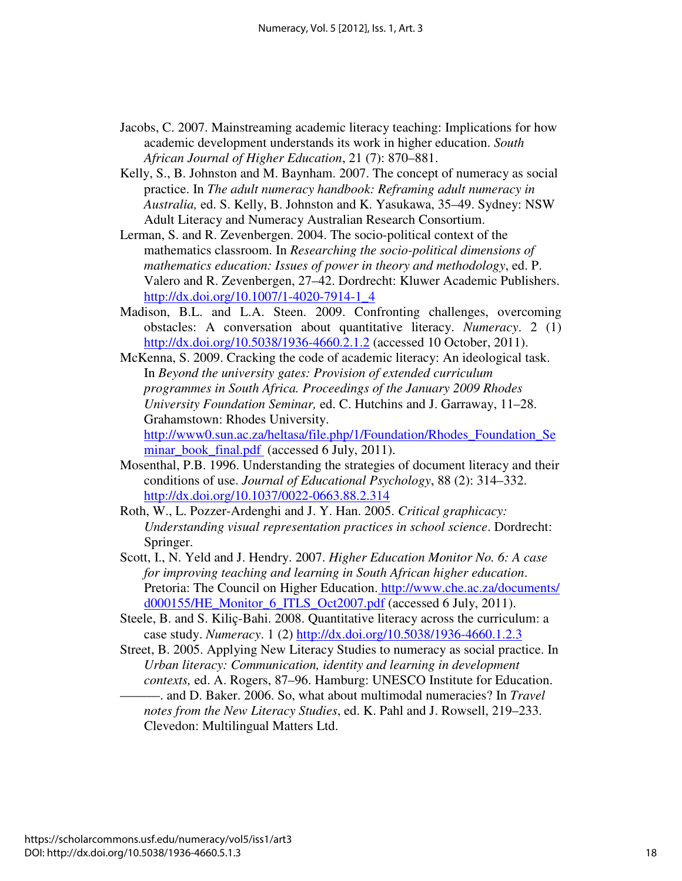- Jacobs, C. 2007. Mainstreaming academic literacy teaching: Implications for how academic development understands its work in higher education. *South African Journal of Higher Education*, 21 (7): 870–881.
- Kelly, S., B. Johnston and M. Baynham. 2007. The concept of numeracy as social practice. In *The adult numeracy handbook: Reframing adult numeracy in Australia,* ed. S. Kelly, B. Johnston and K. Yasukawa, 35–49. Sydney: NSW Adult Literacy and Numeracy Australian Research Consortium.
- Lerman, S. and R. Zevenbergen. 2004. The socio-political context of the mathematics classroom. In *Researching the socio-political dimensions of mathematics education: Issues of power in theory and methodology*, ed. P. Valero and R. Zevenbergen, 27–42. Dordrecht: Kluwer Academic Publishers. http://dx.doi.org/10.1007/1-4020-7914-1\_4
- Madison, B.L. and L.A. Steen. 2009. Confronting challenges, overcoming obstacles: A conversation about quantitative literacy. *Numeracy*. 2 (1) http://dx.doi.org/10.5038/1936-4660.2.1.2 (accessed 10 October, 2011).
- McKenna, S. 2009. Cracking the code of academic literacy: An ideological task. In *Beyond the university gates: Provision of extended curriculum programmes in South Africa. Proceedings of the January 2009 Rhodes University Foundation Seminar,* ed. C. Hutchins and J. Garraway, 11–28. Grahamstown: Rhodes University. http://www0.sun.ac.za/heltasa/file.php/1/Foundation/Rhodes\_Foundation\_Se minar\_book\_final.pdf (accessed 6 July, 2011).
- Mosenthal, P.B. 1996. Understanding the strategies of document literacy and their conditions of use. *Journal of Educational Psychology*, 88 (2): 314–332. http://dx.doi.org/10.1037/0022-0663.88.2.314
- Roth, W., L. Pozzer-Ardenghi and J. Y. Han. 2005. *Critical graphicacy: Understanding visual representation practices in school science*. Dordrecht: Springer.
- Scott, I., N. Yeld and J. Hendry. 2007. *Higher Education Monitor No. 6: A case for improving teaching and learning in South African higher education*. Pretoria: The Council on Higher Education. http://www.che.ac.za/documents/ d000155/HE\_Monitor\_6\_ITLS\_Oct2007.pdf (accessed 6 July, 2011).
- Steele, B. and S. Kiliç-Bahi. 2008. Quantitative literacy across the curriculum: a case study. *Numeracy*. 1 (2) http://dx.doi.org/10.5038/1936-4660.1.2.3
- Street, B. 2005. Applying New Literacy Studies to numeracy as social practice. In *Urban literacy: Communication, identity and learning in development contexts,* ed. A. Rogers, 87–96. Hamburg: UNESCO Institute for Education. ———. and D. Baker. 2006. So, what about multimodal numeracies? In *Travel notes from the New Literacy Studies*, ed. K. Pahl and J. Rowsell, 219–233. Clevedon: Multilingual Matters Ltd.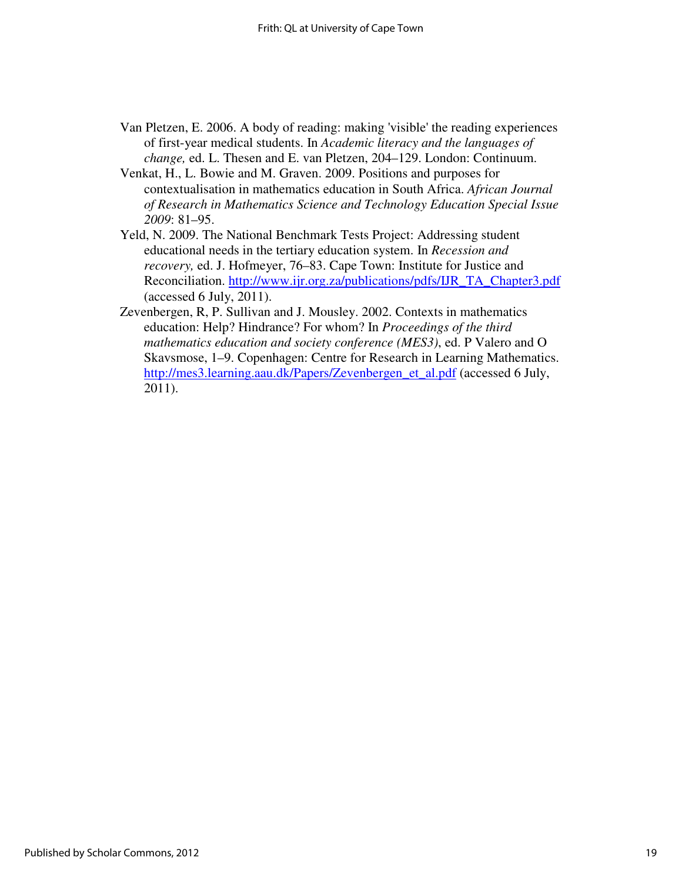- Van Pletzen, E. 2006. A body of reading: making 'visible' the reading experiences of first-year medical students. In *Academic literacy and the languages of change,* ed. L. Thesen and E. van Pletzen, 204–129. London: Continuum.
- Venkat, H., L. Bowie and M. Graven. 2009. Positions and purposes for contextualisation in mathematics education in South Africa. *African Journal of Research in Mathematics Science and Technology Education Special Issue 2009*: 81–95.
- Yeld, N. 2009. The National Benchmark Tests Project: Addressing student educational needs in the tertiary education system. In *Recession and recovery,* ed. J. Hofmeyer, 76–83. Cape Town: Institute for Justice and Reconciliation. http://www.ijr.org.za/publications/pdfs/IJR\_TA\_Chapter3.pdf (accessed 6 July, 2011).
- Zevenbergen, R, P. Sullivan and J. Mousley. 2002. Contexts in mathematics education: Help? Hindrance? For whom? In *Proceedings of the third mathematics education and society conference (MES3)*, ed. P Valero and O Skavsmose, 1–9. Copenhagen: Centre for Research in Learning Mathematics. http://mes3.learning.aau.dk/Papers/Zevenbergen\_et\_al.pdf (accessed 6 July, 2011).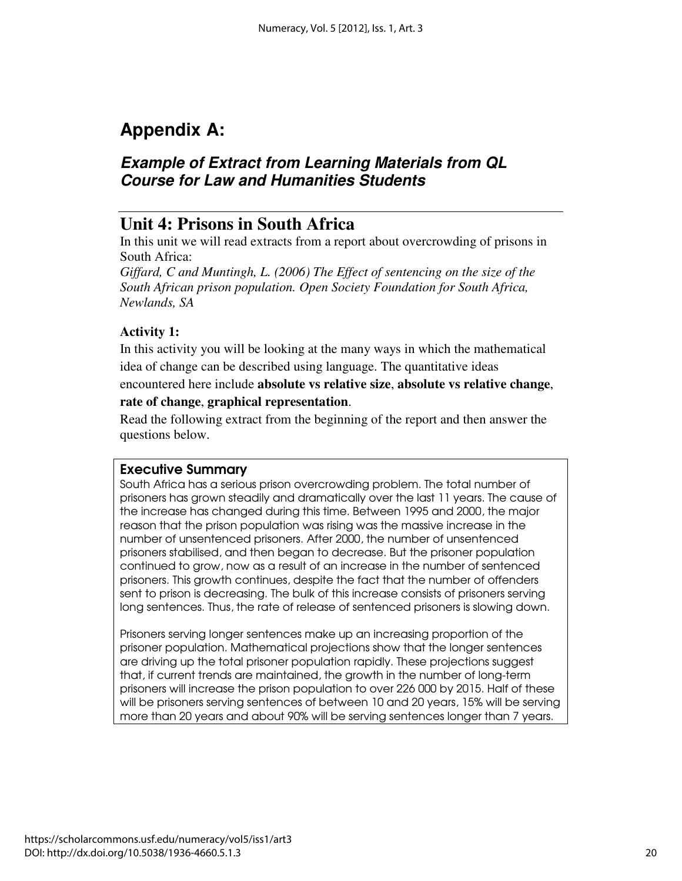# **Appendix A:**

## **Example of Extract from Learning Materials from QL Course for Law and Humanities Students**

## **Unit 4: Prisons in South Africa**

In this unit we will read extracts from a report about overcrowding of prisons in South Africa:

*Giffard, C and Muntingh, L. (2006) The Effect of sentencing on the size of the South African prison population. Open Society Foundation for South Africa, Newlands, SA* 

### **Activity 1:**

In this activity you will be looking at the many ways in which the mathematical idea of change can be described using language. The quantitative ideas

### encountered here include **absolute vs relative size**, **absolute vs relative change**, **rate of change**, **graphical representation**.

Read the following extract from the beginning of the report and then answer the questions below.

### Executive Summary

South Africa has a serious prison overcrowding problem. The total number of prisoners has grown steadily and dramatically over the last 11 years. The cause of the increase has changed during this time. Between 1995 and 2000, the major reason that the prison population was rising was the massive increase in the number of unsentenced prisoners. After 2000, the number of unsentenced prisoners stabilised, and then began to decrease. But the prisoner population continued to grow, now as a result of an increase in the number of sentenced prisoners. This growth continues, despite the fact that the number of offenders sent to prison is decreasing. The bulk of this increase consists of prisoners serving long sentences. Thus, the rate of release of sentenced prisoners is slowing down.

Prisoners serving longer sentences make up an increasing proportion of the prisoner population. Mathematical projections show that the longer sentences are driving up the total prisoner population rapidly. These projections suggest that, if current trends are maintained, the growth in the number of long-term prisoners will increase the prison population to over 226 000 by 2015. Half of these will be prisoners serving sentences of between 10 and 20 years, 15% will be serving more than 20 years and about 90% will be serving sentences longer than 7 years.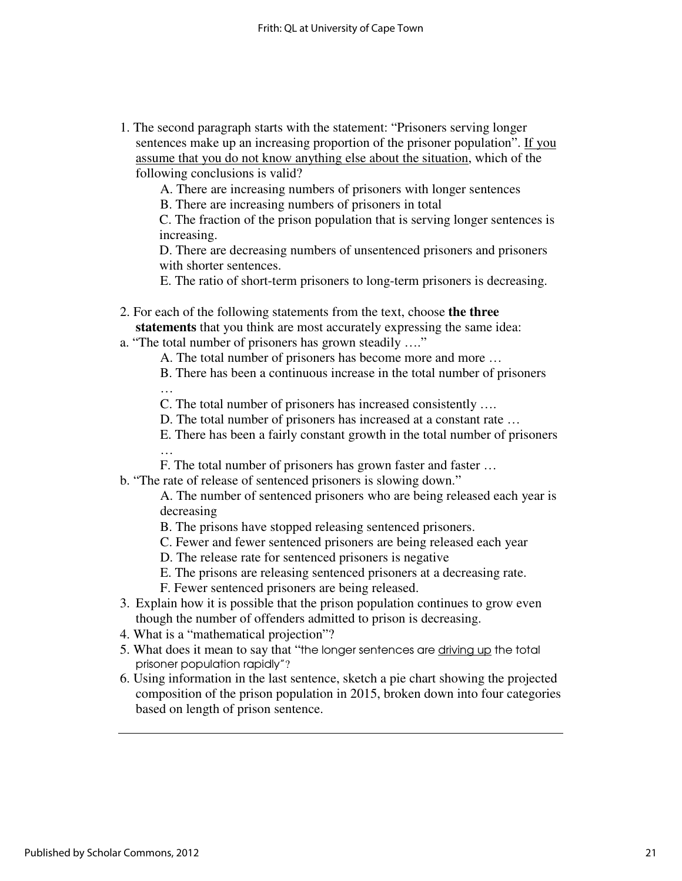1. The second paragraph starts with the statement: "Prisoners serving longer sentences make up an increasing proportion of the prisoner population". If you assume that you do not know anything else about the situation, which of the following conclusions is valid?

A. There are increasing numbers of prisoners with longer sentences

B. There are increasing numbers of prisoners in total

C. The fraction of the prison population that is serving longer sentences is increasing.

D. There are decreasing numbers of unsentenced prisoners and prisoners with shorter sentences.

E. The ratio of short-term prisoners to long-term prisoners is decreasing.

- 2. For each of the following statements from the text, choose **the three statements** that you think are most accurately expressing the same idea:
- a. "The total number of prisoners has grown steadily …."

A. The total number of prisoners has become more and more …

B. There has been a continuous increase in the total number of prisoners

…

C. The total number of prisoners has increased consistently ….

- D. The total number of prisoners has increased at a constant rate …
- E. There has been a fairly constant growth in the total number of prisoners …
- F. The total number of prisoners has grown faster and faster …

b. "The rate of release of sentenced prisoners is slowing down."

A. The number of sentenced prisoners who are being released each year is decreasing

- B. The prisons have stopped releasing sentenced prisoners.
- C. Fewer and fewer sentenced prisoners are being released each year
- D. The release rate for sentenced prisoners is negative
- E. The prisons are releasing sentenced prisoners at a decreasing rate.
- F. Fewer sentenced prisoners are being released.
- 3. Explain how it is possible that the prison population continues to grow even though the number of offenders admitted to prison is decreasing.
- 4. What is a "mathematical projection"?
- 5. What does it mean to say that "the longer sentences are driving up the total prisoner population rapidly"?
- 6. Using information in the last sentence, sketch a pie chart showing the projected composition of the prison population in 2015, broken down into four categories based on length of prison sentence.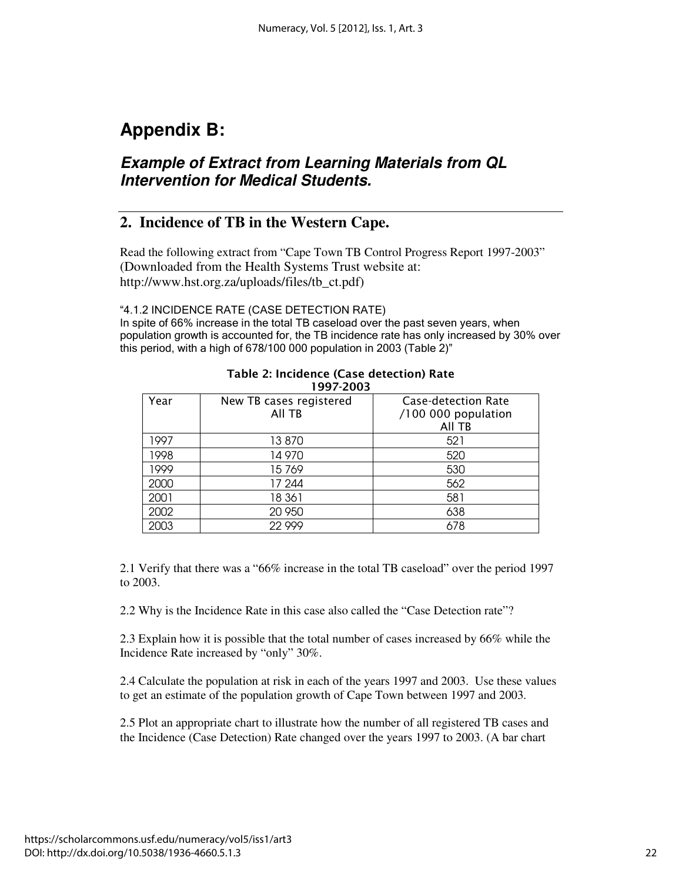# **Appendix B:**

## **Example of Extract from Learning Materials from QL Intervention for Medical Students.**

### **2. Incidence of TB in the Western Cape.**

Read the following extract from "Cape Town TB Control Progress Report 1997-2003" (Downloaded from the Health Systems Trust website at: http://www.hst.org.za/uploads/files/tb\_ct.pdf)

### "4.1.2 INCIDENCE RATE (CASE DETECTION RATE)

In spite of 66% increase in the total TB caseload over the past seven years, when population growth is accounted for, the TB incidence rate has only increased by 30% over this period, with a high of 678/100 000 population in 2003 (Table 2)"

| 1997-2003 |                         |                     |  |
|-----------|-------------------------|---------------------|--|
| Year      | New TB cases registered | Case-detection Rate |  |
|           | All TB                  | /100 000 population |  |
|           |                         | All TB              |  |
| 1997      | 13 870                  | 521                 |  |
| 1998      | 14970                   | 520                 |  |
| 1999      | 15769                   | 530                 |  |
| 2000      | 17 244                  | 562                 |  |
| 2001      | 18 361                  | 581                 |  |
| 2002      | 20 950                  | 638                 |  |
| 2003      | 22999                   | 678                 |  |

# Table 2: Incidence (Case detection) Rate

2.1 Verify that there was a "66% increase in the total TB caseload" over the period 1997 to 2003.

2.2 Why is the Incidence Rate in this case also called the "Case Detection rate"?

2.3 Explain how it is possible that the total number of cases increased by 66% while the Incidence Rate increased by "only" 30%.

2.4 Calculate the population at risk in each of the years 1997 and 2003. Use these values to get an estimate of the population growth of Cape Town between 1997 and 2003.

2.5 Plot an appropriate chart to illustrate how the number of all registered TB cases and the Incidence (Case Detection) Rate changed over the years 1997 to 2003. (A bar chart